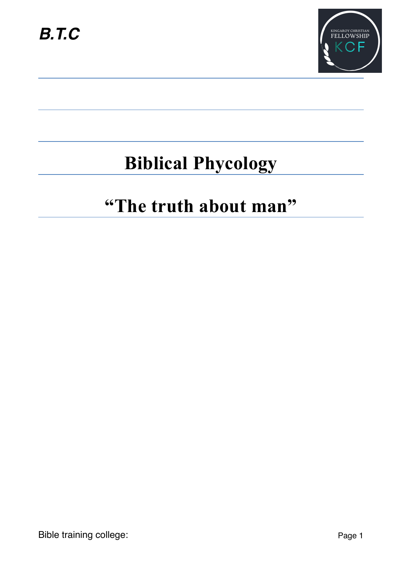

# **Biblical Phycology**

# **"The truth about man"**

Bible training college: Page 1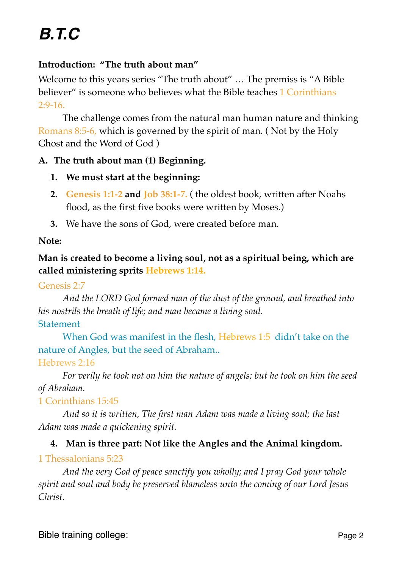# **Introduction: "The truth about man"**

Welcome to this years series "The truth about" … The premiss is "A Bible believer" is someone who believes what the Bible teaches 1 Corinthians 2:9-16.

The challenge comes from the natural man human nature and thinking Romans 8:5-6, which is governed by the spirit of man. ( Not by the Holy Ghost and the Word of God )

## **A. The truth about man (1) Beginning.**

- **1. We must start at the beginning:**
- **2. Genesis 1:1-2 and Job 38:1-7.** ( the oldest book, written after Noahs flood, as the first five books were written by Moses.)
- **3.** We have the sons of God, were created before man.

### **Note:**

# **Man is created to become a living soul, not as a spiritual being, which are called ministering sprits Hebrews 1:14.**

#### Genesis 2:7

*And the LORD God formed man of the dust of the ground, and breathed into his nostrils the breath of life; and man became a living soul.*

## Statement

When God was manifest in the flesh, Hebrews 1:5 didn't take on the nature of Angles, but the seed of Abraham.. Hebrews 2:16

# *For verily he took not on him the nature of angels; but he took on him the seed of Abraham.*

## 1 Corinthians 15:45

*And so it is written, The first man Adam was made a living soul; the last Adam was made a quickening spirit.*

## **4. Man is three part: Not like the Angles and the Animal kingdom.**

# 1 Thessalonians 5:23

*And the very God of peace sanctify you wholly; and I pray God your whole spirit and soul and body be preserved blameless unto the coming of our Lord Jesus Christ.*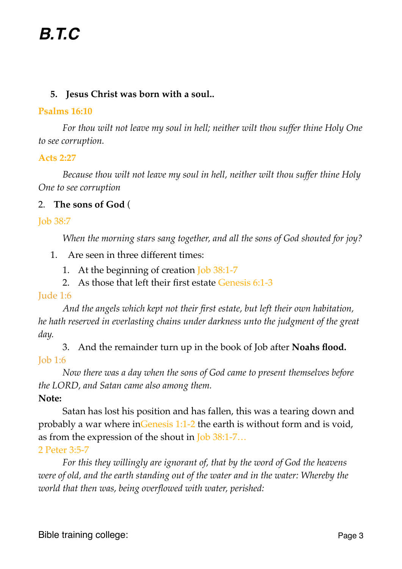## **5. Jesus Christ was born with a soul..**

#### **Psalms 16:10**

*For thou wilt not leave my soul in hell; neither wilt thou suffer thine Holy One to see corruption.*

### **Acts 2:27**

*Because thou wilt not leave my soul in hell, neither wilt thou suffer thine Holy One to see corruption*

## 2. **The sons of God** (

Job 38:7

*When the morning stars sang together, and all the sons of God shouted for joy?*

- 1. Are seen in three different times:
	- 1. At the beginning of creation **Job** 38:1-7
	- 2. As those that left their first estate Genesis 6:1-3

#### Jude 1:6

*And the angels which kept not their first estate, but left their own habitation, he hath reserved in everlasting chains under darkness unto the judgment of the great day.*

3. And the remainder turn up in the book of Job after **Noahs flood.** Job 1:6

*Now there was a day when the sons of God came to present themselves before the LORD, and Satan came also among them.*

## **Note:**

Satan has lost his position and has fallen, this was a tearing down and probably a war where inGenesis 1:1-2 the earth is without form and is void, as from the expression of the shout in Job 38:1-7…

#### 2 Peter 3:5-7

*For this they willingly are ignorant of, that by the word of God the heavens were of old, and the earth standing out of the water and in the water: Whereby the world that then was, being overflowed with water, perished:*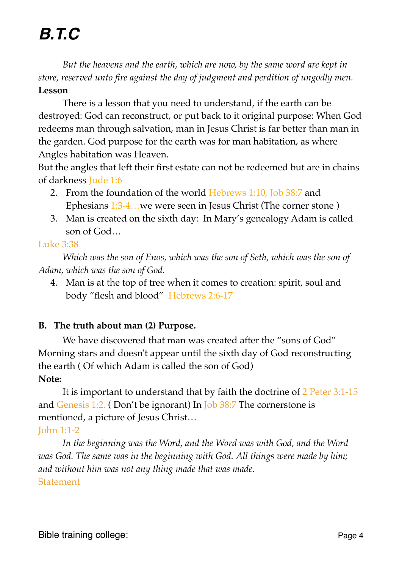*But the heavens and the earth, which are now, by the same word are kept in store, reserved unto fire against the day of judgment and perdition of ungodly men.* **Lesson**

There is a lesson that you need to understand, if the earth can be destroyed: God can reconstruct, or put back to it original purpose: When God redeems man through salvation, man in Jesus Christ is far better than man in the garden. God purpose for the earth was for man habitation, as where Angles habitation was Heaven.

But the angles that left their first estate can not be redeemed but are in chains of darkness Jude 1:6

- 2. From the foundation of the world Hebrews 1:10, Job 38:7 and Ephesians 1:3-4…we were seen in Jesus Christ (The corner stone )
- 3. Man is created on the sixth day: In Mary's genealogy Adam is called son of God…

## Luke 3:38

*Which was the son of Enos, which was the son of Seth, which was the son of Adam, which was the son of God.*

4. Man is at the top of tree when it comes to creation: spirit, soul and body "flesh and blood" Hebrews 2:6-17

# **B. The truth about man (2) Purpose.**

We have discovered that man was created after the "sons of God" Morning stars and doesn't appear until the sixth day of God reconstructing the earth ( Of which Adam is called the son of God) **Note:**

It is important to understand that by faith the doctrine of 2 Peter 3:1-15 and Genesis 1:2. ( Don't be ignorant) In Job 38:7 The cornerstone is mentioned, a picture of Jesus Christ…

# John 1:1-2

*In the beginning was the Word, and the Word was with God, and the Word was God. The same was in the beginning with God. All things were made by him; and without him was not any thing made that was made.* **Statement**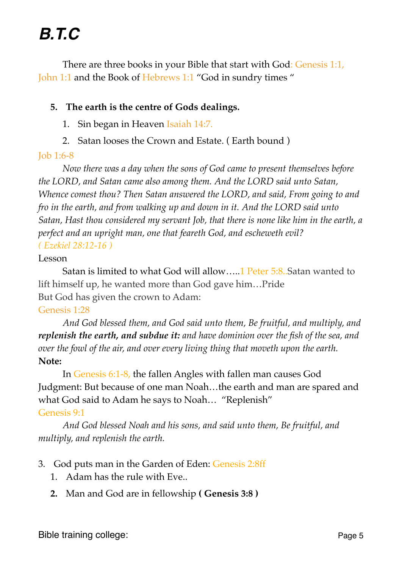There are three books in your Bible that start with God: Genesis 1:1, John 1:1 and the Book of Hebrews 1:1 "God in sundry times "

## **5. The earth is the centre of Gods dealings.**

- 1. Sin began in Heaven Isaiah 14:7.
- 2. Satan looses the Crown and Estate. ( Earth bound )

#### Job 1:6-8

*Now there was a day when the sons of God came to present themselves before the LORD, and Satan came also among them. And the LORD said unto Satan, Whence comest thou? Then Satan answered the LORD, and said, From going to and fro in the earth, and from walking up and down in it. And the LORD said unto Satan, Hast thou considered my servant Job, that there is none like him in the earth, a perfect and an upright man, one that feareth God, and escheweth evil? ( Ezekiel 28:12-16 )*

#### Lesson

Satan is limited to what God will allow…..1 Peter 5:8..Satan wanted to lift himself up, he wanted more than God gave him…Pride But God has given the crown to Adam:

#### Genesis 1:28

*And God blessed them, and God said unto them, Be fruitful, and multiply, and replenish the earth, and subdue it: and have dominion over the fish of the sea, and over the fowl of the air, and over every living thing that moveth upon the earth.* **Note:**

In Genesis 6:1-8, the fallen Angles with fallen man causes God Judgment: But because of one man Noah…the earth and man are spared and what God said to Adam he says to Noah… "Replenish" Genesis 9:1

*And God blessed Noah and his sons, and said unto them, Be fruitful, and multiply, and replenish the earth.*

- 3. God puts man in the Garden of Eden: Genesis 2:8ff
	- 1. Adam has the rule with Eve..
	- **2.** Man and God are in fellowship **( Genesis 3:8 )**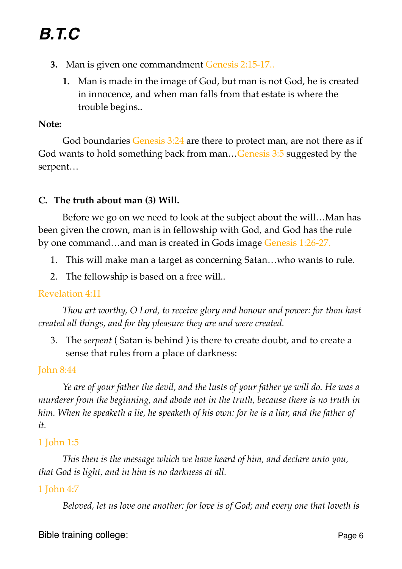- **3.** Man is given one commandment Genesis 2:15-17..
	- **1.** Man is made in the image of God, but man is not God, he is created in innocence, and when man falls from that estate is where the trouble begins..

#### **Note:**

God boundaries Genesis 3:24 are there to protect man, are not there as if God wants to hold something back from man…Genesis 3:5 suggested by the serpent…

## **C. The truth about man (3) Will.**

Before we go on we need to look at the subject about the will…Man has been given the crown, man is in fellowship with God, and God has the rule by one command…and man is created in Gods image Genesis 1:26-27.

- 1. This will make man a target as concerning Satan…who wants to rule.
- 2. The fellowship is based on a free will..

## Revelation 4:11

*Thou art worthy, O Lord, to receive glory and honour and power: for thou hast created all things, and for thy pleasure they are and were created.*

3. The *serpent* ( Satan is behind ) is there to create doubt, and to create a sense that rules from a place of darkness:

#### John 8:44

*Ye are of your father the devil, and the lusts of your father ye will do. He was a murderer from the beginning, and abode not in the truth, because there is no truth in him. When he speaketh a lie, he speaketh of his own: for he is a liar, and the father of it.*

#### 1 John 1:5

*This then is the message which we have heard of him, and declare unto you, that God is light, and in him is no darkness at all.*

## 1 John 4:7

*Beloved, let us love one another: for love is of God; and every one that loveth is*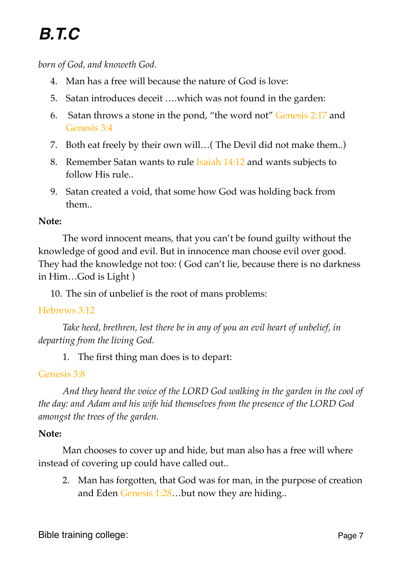*born of God, and knoweth God.*

- 4. Man has a free will because the nature of God is love:
- 5. Satan introduces deceit ….which was not found in the garden:
- 6. Satan throws a stone in the pond, "the word not" Genesis 2:17 and Genesis 3:4
- 7. Both eat freely by their own will…( The Devil did not make them..)
- 8. Remember Satan wants to rule Isaiah 14:12 and wants subjects to follow His rule..
- 9. Satan created a void, that some how God was holding back from them..

## **Note:**

The word innocent means, that you can't be found guilty without the knowledge of good and evil. But in innocence man choose evil over good. They had the knowledge not too: ( God can't lie, because there is no darkness in Him…God is Light )

10. The sin of unbelief is the root of mans problems:

## Hebrews 3:12

*Take heed, brethren, lest there be in any of you an evil heart of unbelief, in departing from the living God.*

1. The first thing man does is to depart:

# Genesis 3:8

*And they heard the voice of the LORD God walking in the garden in the cool of the day: and Adam and his wife hid themselves from the presence of the LORD God amongst the trees of the garden.*

## **Note:**

Man chooses to cover up and hide, but man also has a free will where instead of covering up could have called out..

2. Man has forgotten, that God was for man, in the purpose of creation and Eden Genesis 1:28…but now they are hiding..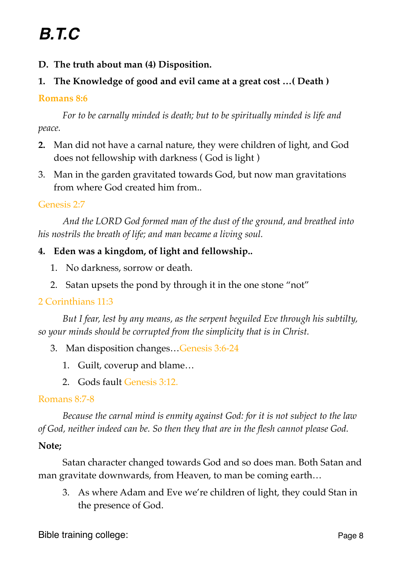- **D. The truth about man (4) Disposition.**
- **1. The Knowledge of good and evil came at a great cost …( Death )**

## **Romans 8:6**

*For to be carnally minded is death; but to be spiritually minded is life and peace.*

- **2.** Man did not have a carnal nature, they were children of light, and God does not fellowship with darkness ( God is light )
- 3. Man in the garden gravitated towards God, but now man gravitations from where God created him from..

Genesis 2:7

*And the LORD God formed man of the dust of the ground, and breathed into his nostrils the breath of life; and man became a living soul.*

# **4. Eden was a kingdom, of light and fellowship..**

- 1. No darkness, sorrow or death.
- 2. Satan upsets the pond by through it in the one stone "not"

# 2 Corinthians 11:3

*But I fear, lest by any means, as the serpent beguiled Eve through his subtilty, so your minds should be corrupted from the simplicity that is in Christ.*

- 3. Man disposition changes…Genesis 3:6-24
	- 1. Guilt, coverup and blame…
	- 2. Gods fault Genesis 3:12.

# Romans 8:7-8

*Because the carnal mind is enmity against God: for it is not subject to the law of God, neither indeed can be. So then they that are in the flesh cannot please God.*

# **Note;**

Satan character changed towards God and so does man. Both Satan and man gravitate downwards, from Heaven, to man be coming earth…

3. As where Adam and Eve we're children of light, they could Stan in the presence of God.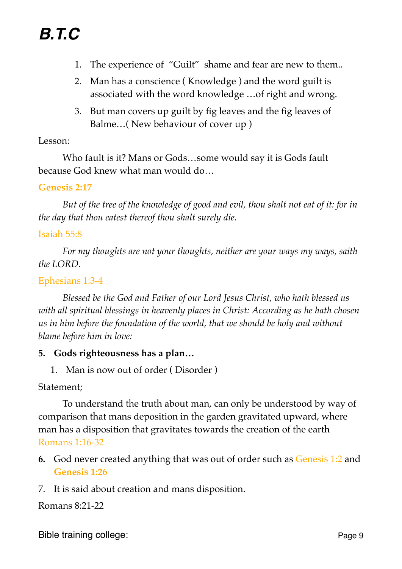- 1. The experience of "Guilt" shame and fear are new to them..
- 2. Man has a conscience ( Knowledge ) and the word guilt is associated with the word knowledge …of right and wrong.
- 3. But man covers up guilt by fig leaves and the fig leaves of Balme…( New behaviour of cover up )

### Lesson:

Who fault is it? Mans or Gods…some would say it is Gods fault because God knew what man would do…

### **Genesis 2:17**

*But of the tree of the knowledge of good and evil, thou shalt not eat of it: for in the day that thou eatest thereof thou shalt surely die.*

### Isaiah 55:8

*For my thoughts are not your thoughts, neither are your ways my ways, saith the LORD.*

### Ephesians 1:3-4

*Blessed be the God and Father of our Lord Jesus Christ, who hath blessed us with all spiritual blessings in heavenly places in Christ: According as he hath chosen us in him before the foundation of the world, that we should be holy and without blame before him in love:*

#### **5. Gods righteousness has a plan…**

1. Man is now out of order ( Disorder )

Statement;

To understand the truth about man, can only be understood by way of comparison that mans deposition in the garden gravitated upward, where man has a disposition that gravitates towards the creation of the earth Romans 1:16-32

- **6.** God never created anything that was out of order such as Genesis 1:2 and **Genesis 1:26**
- 7. It is said about creation and mans disposition.

Romans 8:21-22

Bible training college: Page 9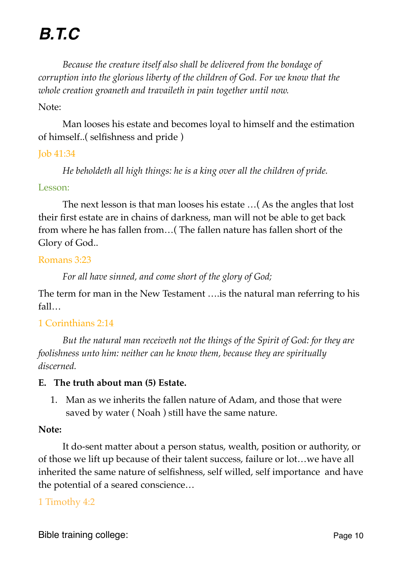*Because the creature itself also shall be delivered from the bondage of corruption into the glorious liberty of the children of God. For we know that the whole creation groaneth and travaileth in pain together until now.*

#### Note:

Man looses his estate and becomes loyal to himself and the estimation of himself..( selfishness and pride )

#### Job 41:34

*He beholdeth all high things: he is a king over all the children of pride.*

#### Lesson:

The next lesson is that man looses his estate …( As the angles that lost their first estate are in chains of darkness, man will not be able to get back from where he has fallen from…( The fallen nature has fallen short of the Glory of God..

#### Romans 3:23

*For all have sinned, and come short of the glory of God;* 

The term for man in the New Testament ….is the natural man referring to his fall…

## 1 Corinthians 2:14

*But the natural man receiveth not the things of the Spirit of God: for they are foolishness unto him: neither can he know them, because they are spiritually discerned.*

#### **E. The truth about man (5) Estate.**

1. Man as we inherits the fallen nature of Adam, and those that were saved by water ( Noah ) still have the same nature.

#### **Note:**

It do-sent matter about a person status, wealth, position or authority, or of those we lift up because of their talent success, failure or lot…we have all inherited the same nature of selfishness, self willed, self importance and have the potential of a seared conscience…

#### 1 Timothy 4:2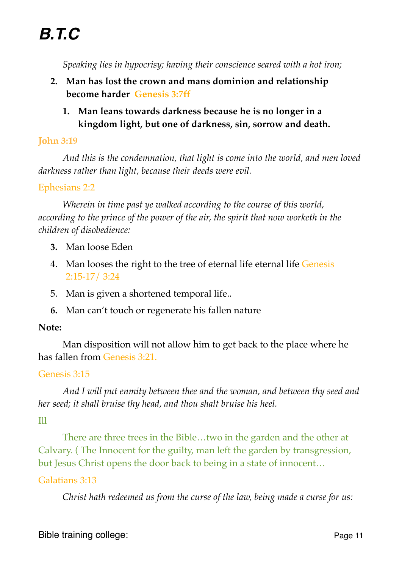*Speaking lies in hypocrisy; having their conscience seared with a hot iron;*

- **2. Man has lost the crown and mans dominion and relationship become harder Genesis 3:7ff**
	- **1. Man leans towards darkness because he is no longer in a kingdom light, but one of darkness, sin, sorrow and death.**

## **John 3:19**

*And this is the condemnation, that light is come into the world, and men loved darkness rather than light, because their deeds were evil.*

## Ephesians 2:2

*Wherein in time past ye walked according to the course of this world, according to the prince of the power of the air, the spirit that now worketh in the children of disobedience:*

- **3.** Man loose Eden
- 4. Man looses the right to the tree of eternal life eternal life Genesis 2:15-17/ 3:24
- 5. Man is given a shortened temporal life..
- **6.** Man can't touch or regenerate his fallen nature

## **Note:**

Man disposition will not allow him to get back to the place where he has fallen from Genesis 3:21.

## Genesis 3:15

*And I will put enmity between thee and the woman, and between thy seed and her seed; it shall bruise thy head, and thou shalt bruise his heel.*

# Ill

There are three trees in the Bible…two in the garden and the other at Calvary. ( The Innocent for the guilty, man left the garden by transgression, but Jesus Christ opens the door back to being in a state of innocent…

## Galatians 3:13

*Christ hath redeemed us from the curse of the law, being made a curse for us:*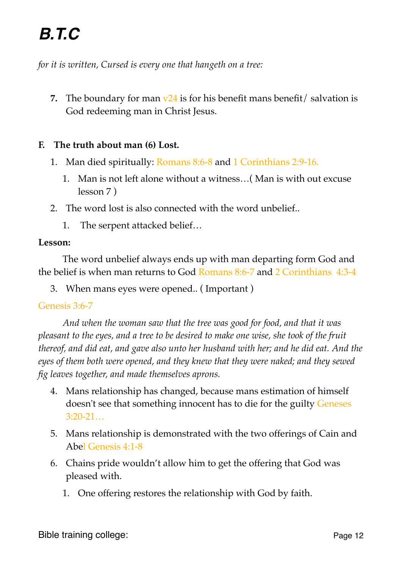*for it is written, Cursed is every one that hangeth on a tree:*

**7.** The boundary for man  $\nu$ 24 is for his benefit mans benefit/ salvation is God redeeming man in Christ Jesus.

## **F. The truth about man (6) Lost.**

- 1. Man died spiritually: Romans 8:6-8 and 1 Corinthians 2:9-16.
	- 1. Man is not left alone without a witness…( Man is with out excuse lesson 7 )
- 2. The word lost is also connected with the word unbelief..
	- 1. The serpent attacked belief…

#### **Lesson:**

The word unbelief always ends up with man departing form God and the belief is when man returns to God Romans 8:6-7 and 2 Corinthians 4:3-4

3. When mans eyes were opened.. ( Important )

#### Genesis 3:6-7

*And when the woman saw that the tree was good for food, and that it was pleasant to the eyes, and a tree to be desired to make one wise, she took of the fruit thereof, and did eat, and gave also unto her husband with her; and he did eat. And the eyes of them both were opened, and they knew that they were naked; and they sewed fig leaves together, and made themselves aprons.*

- 4. Mans relationship has changed, because mans estimation of himself doesn't see that something innocent has to die for the guilty Geneses 3:20-21…
- 5. Mans relationship is demonstrated with the two offerings of Cain and Abel Genesis 4:1-8
- 6. Chains pride wouldn't allow him to get the offering that God was pleased with.
	- 1. One offering restores the relationship with God by faith.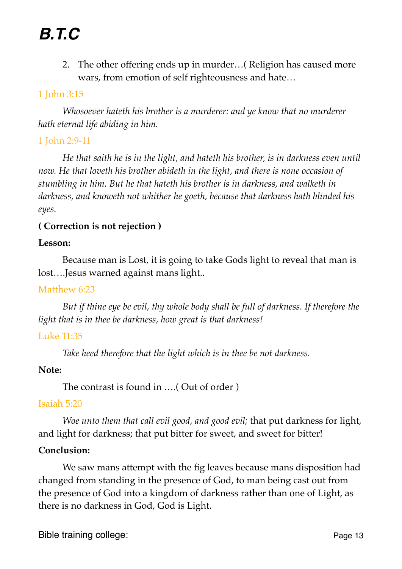2. The other offering ends up in murder…( Religion has caused more wars, from emotion of self righteousness and hate…

## 1 John 3:15

*Whosoever hateth his brother is a murderer: and ye know that no murderer hath eternal life abiding in him.*

## 1 John 2:9-11

*He that saith he is in the light, and hateth his brother, is in darkness even until now. He that loveth his brother abideth in the light, and there is none occasion of stumbling in him. But he that hateth his brother is in darkness, and walketh in darkness, and knoweth not whither he goeth, because that darkness hath blinded his eyes.*

## **( Correction is not rejection )**

#### **Lesson:**

Because man is Lost, it is going to take Gods light to reveal that man is lost….Jesus warned against mans light..

#### Matthew 6:23

*But if thine eye be evil, thy whole body shall be full of darkness. If therefore the light that is in thee be darkness, how great is that darkness!*

## Luke 11:35

*Take heed therefore that the light which is in thee be not darkness.*

#### **Note:**

The contrast is found in ….( Out of order )

#### Isaiah 5:20

*Woe unto them that call evil good, and good evil;* that put darkness for light, and light for darkness; that put bitter for sweet, and sweet for bitter!

## **Conclusion:**

We saw mans attempt with the fig leaves because mans disposition had changed from standing in the presence of God, to man being cast out from the presence of God into a kingdom of darkness rather than one of Light, as there is no darkness in God, God is Light.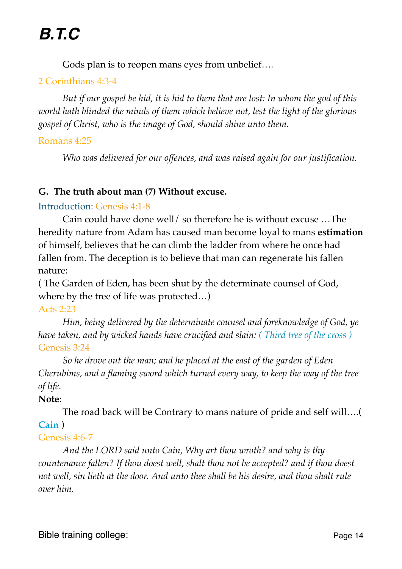Gods plan is to reopen mans eyes from unbelief….

# 2 Corinthians 4:3-4

*But if our gospel be hid, it is hid to them that are lost: In whom the god of this world hath blinded the minds of them which believe not, lest the light of the glorious gospel of Christ, who is the image of God, should shine unto them.*

## Romans 4:25

*Who was delivered for our offences, and was raised again for our justification.*

## **G. The truth about man (7) Without excuse.**

#### Introduction: Genesis 4:1-8

Cain could have done well/ so therefore he is without excuse …The heredity nature from Adam has caused man become loyal to mans **estimation** of himself, believes that he can climb the ladder from where he once had fallen from. The deception is to believe that man can regenerate his fallen nature:

( The Garden of Eden, has been shut by the determinate counsel of God, where by the tree of life was protected…)

#### Acts 2:23

*Him, being delivered by the determinate counsel and foreknowledge of God, ye have taken, and by wicked hands have crucified and slain: ( Third tree of the cross )* Genesis 3:24

*So he drove out the man; and he placed at the east of the garden of Eden Cherubims, and a flaming sword which turned every way, to keep the way of the tree of life.*

## **Note**:

The road back will be Contrary to mans nature of pride and self will….( **Cain** )

## Genesis 4:6-7

*And the LORD said unto Cain, Why art thou wroth? and why is thy countenance fallen? If thou doest well, shalt thou not be accepted? and if thou doest not well, sin lieth at the door. And unto thee shall be his desire, and thou shalt rule over him.*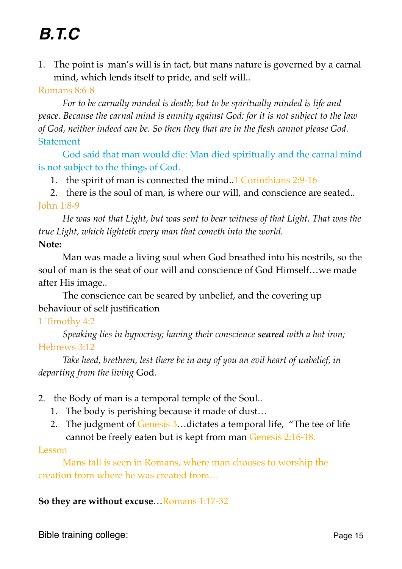1. The point is man's will is in tact, but mans nature is governed by a carnal mind, which lends itself to pride, and self will..

### Romans 8:6-8

*For to be carnally minded is death; but to be spiritually minded is life and peace. Because the carnal mind is enmity against God: for it is not subject to the law of God, neither indeed can be. So then they that are in the flesh cannot please God.* **Statement** 

God said that man would die: Man died spiritually and the carnal mind is not subject to the things of God.

1. the spirit of man is connected the mind..1 Corinthians 2:9-16

2. there is the soul of man, is where our will, and conscience are seated.. John 1:8-9

*He was not that Light, but was sent to bear witness of that Light. That was the true Light, which lighteth every man that cometh into the world.* **Note:**

Man was made a living soul when God breathed into his nostrils, so the soul of man is the seat of our will and conscience of God Himself…we made after His image..

The conscience can be seared by unbelief, and the covering up behaviour of self justification

## 1 Timothy 4:2

*Speaking lies in hypocrisy; having their conscience seared with a hot iron;* Hebrews 3:12

*Take heed, brethren, lest there be in any of you an evil heart of unbelief, in departing from the living* God.

- 2. the Body of man is a temporal temple of the Soul..
	- 1. The body is perishing because it made of dust…
	- 2. The judgment of Genesis 3... dictates a temporal life, "The tee of life cannot be freely eaten but is kept from man Genesis 2:16-18.

#### Lesson

Mans fall is seen in Romans, where man chooses to worship the creation from where he was created from…

#### **So they are without excuse**…Romans 1:17-32